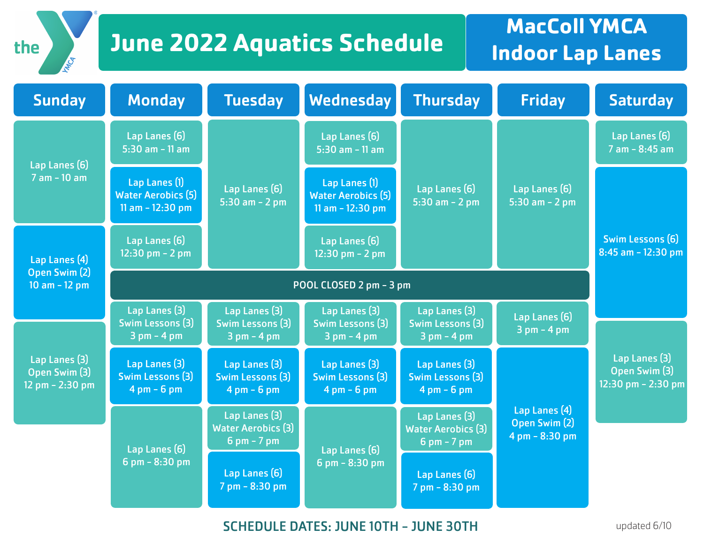### **June 2022 Aquatics Schedule** MacColl YMCA

the

MAG

# **Indoor Lap Lanes**

| <b>Sunday</b>                                                                                            | <b>Monday</b>                                                             | <b>Tuesday</b>                                                            | Wednesday                                                                 | <b>Thursday</b>                                                           | <b>Friday</b>                                                                        | <b>Saturday</b>                                        |
|----------------------------------------------------------------------------------------------------------|---------------------------------------------------------------------------|---------------------------------------------------------------------------|---------------------------------------------------------------------------|---------------------------------------------------------------------------|--------------------------------------------------------------------------------------|--------------------------------------------------------|
| Lap Lanes (6)<br>7 am - 10 am                                                                            | Lap Lanes (6)<br>$5:30$ am - 11 am                                        | Lap Lanes (6)<br>5:30 am $- 2$ pm                                         | Lap Lanes (6)<br>$5:30$ am - 11 am                                        | Lap Lanes (6)<br>5:30 am $- 2$ pm                                         | Lap Lanes (6)<br>5:30 am $- 2$ pm                                                    | Lap Lanes (6)<br>$7$ am $-$ 8:45 am                    |
|                                                                                                          | Lap Lanes (1)<br><b>Water Aerobics (5)</b><br>11 am $-12:30$ pm           |                                                                           | Lap Lanes (1)<br><b>Water Aerobics (5)</b><br>11 am $-12:30$ pm           |                                                                           |                                                                                      |                                                        |
| Lap Lanes (4)<br>Open Swim (2)<br>10 am $-$ 12 pm<br>Lap Lanes (3)<br>Open Swim (3)<br>12 pm $- 2:30$ pm | Lap Lanes (6)<br>12:30 pm $- 2$ pm                                        |                                                                           | Lap Lanes (6)<br>12:30 pm $- 2$ pm                                        |                                                                           |                                                                                      | Swim Lessons (6)<br>$8:45$ am - 12:30 pm               |
|                                                                                                          | POOL CLOSED 2 pm - 3 pm                                                   |                                                                           |                                                                           |                                                                           |                                                                                      |                                                        |
|                                                                                                          | Lap Lanes (3)<br><b>Swim Lessons (3)</b><br>$3$ pm - 4 pm                 | Lap Lanes (3)<br>Swim Lessons (3)<br>$3 pm - 4 pm$                        | Lap Lanes (3)<br><b>Swim Lessons (3)</b><br>$3 pm - 4 pm$                 | Lap Lanes (3)<br><b>Swim Lessons (3)</b><br>$3 pm - 4 pm$                 | Lap Lanes (6)<br>$3$ pm $-$ 4 pm<br>Lap Lanes (4)<br>Open Swim (2)<br>4 pm - 8:30 pm |                                                        |
|                                                                                                          |                                                                           |                                                                           |                                                                           |                                                                           |                                                                                      |                                                        |
|                                                                                                          | Lap Lanes (3)<br><b>Swim Lessons (3)</b><br>$4 \text{ pm} - 6 \text{ pm}$ | Lap Lanes (3)<br><b>Swim Lessons (3)</b><br>$4 \text{ pm} - 6 \text{ pm}$ | Lap Lanes (3)<br><b>Swim Lessons (3)</b><br>$4 \text{ pm} - 6 \text{ pm}$ | Lap Lanes (3)<br><b>Swim Lessons (3)</b><br>$4 \text{ pm} - 6 \text{ pm}$ |                                                                                      | Lap Lanes (3)<br>Open Swim (3)<br>12:30 pm $- 2:30$ pm |
|                                                                                                          | Lap Lanes (6)<br>$6$ pm $- 8:30$ pm                                       | Lap Lanes (3)<br><b>Water Aerobics (3)</b><br>$6$ pm $-7$ pm              | Lap Lanes (6)<br>$6$ pm $- 8:30$ pm                                       | Lap Lanes (3)<br><b>Water Aerobics (3)</b><br>$6$ pm $-7$ pm              |                                                                                      |                                                        |
|                                                                                                          |                                                                           | Lap Lanes (6)<br>7 pm - 8:30 pm                                           |                                                                           | Lap Lanes (6)<br>7 pm - 8:30 pm                                           |                                                                                      |                                                        |

SCHEDULE DATES: JUNE 10TH - JUNE 30TH

updated 6/10